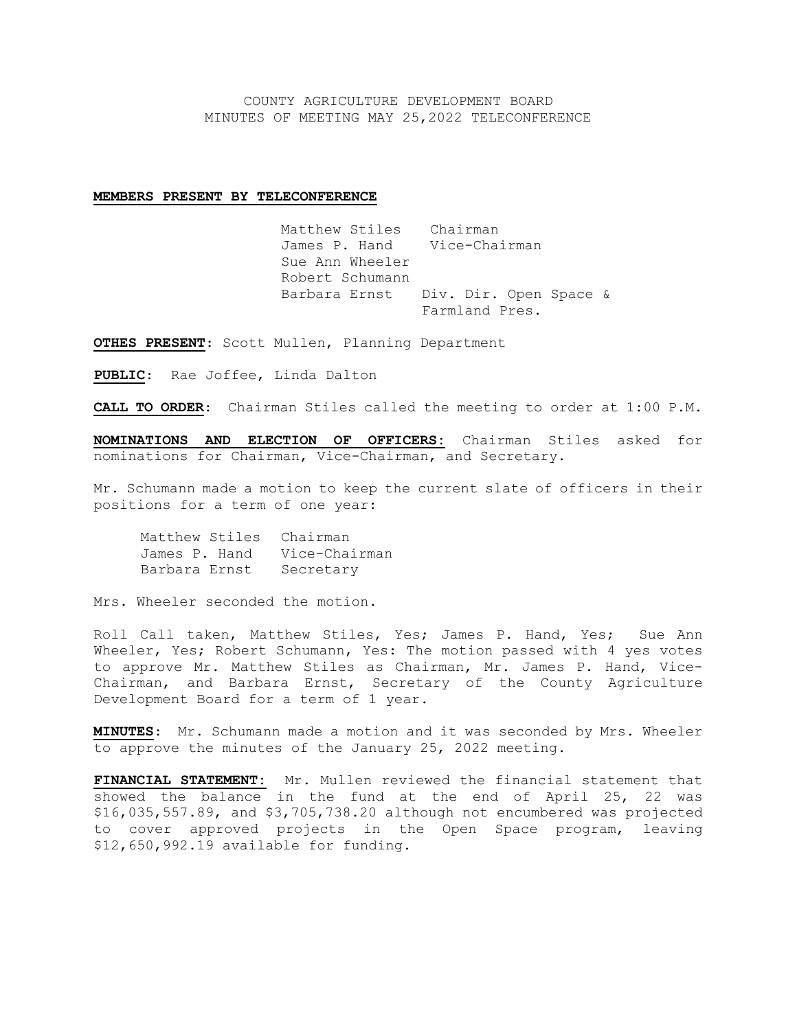COUNTY AGRICULTURE DEVELOPMENT BOARD MINUTES OF MEETING MAY 25,2022 TELECONFERENCE

## **MEMBERS PRESENT BY TELECONFERENCE**

Matthew Stiles Chairman<br>James P. Hand Vice-Chairman James P. Hand Sue Ann Wheeler Robert Schumann Barbara Ernst Div. Dir. Open Space & Farmland Pres.

**OTHES PRESENT**: Scott Mullen, Planning Department

**PUBLIC**: Rae Joffee, Linda Dalton

**CALL TO ORDER**: Chairman Stiles called the meeting to order at 1:00 P.M.

**NOMINATIONS AND ELECTION OF OFFICERS:** Chairman Stiles asked for nominations for Chairman, Vice-Chairman, and Secretary.

Mr. Schumann made a motion to keep the current slate of officers in their positions for a term of one year:

Matthew Stiles Chairman James P. Hand Vice-Chairman Barbara Ernst Secretary

Mrs. Wheeler seconded the motion.

Roll Call taken, Matthew Stiles, Yes; James P. Hand, Yes; Sue Ann Wheeler, Yes; Robert Schumann, Yes: The motion passed with 4 yes votes to approve Mr. Matthew Stiles as Chairman, Mr. James P. Hand, Vice-Chairman, and Barbara Ernst, Secretary of the County Agriculture Development Board for a term of 1 year.

**MINUTES**: Mr. Schumann made a motion and it was seconded by Mrs. Wheeler to approve the minutes of the January 25, 2022 meeting.

**FINANCIAL STATEMENT:** Mr. Mullen reviewed the financial statement that showed the balance in the fund at the end of April 25, 22 was \$16,035,557.89, and \$3,705,738.20 although not encumbered was projected to cover approved projects in the Open Space program, leaving \$12,650,992.19 available for funding.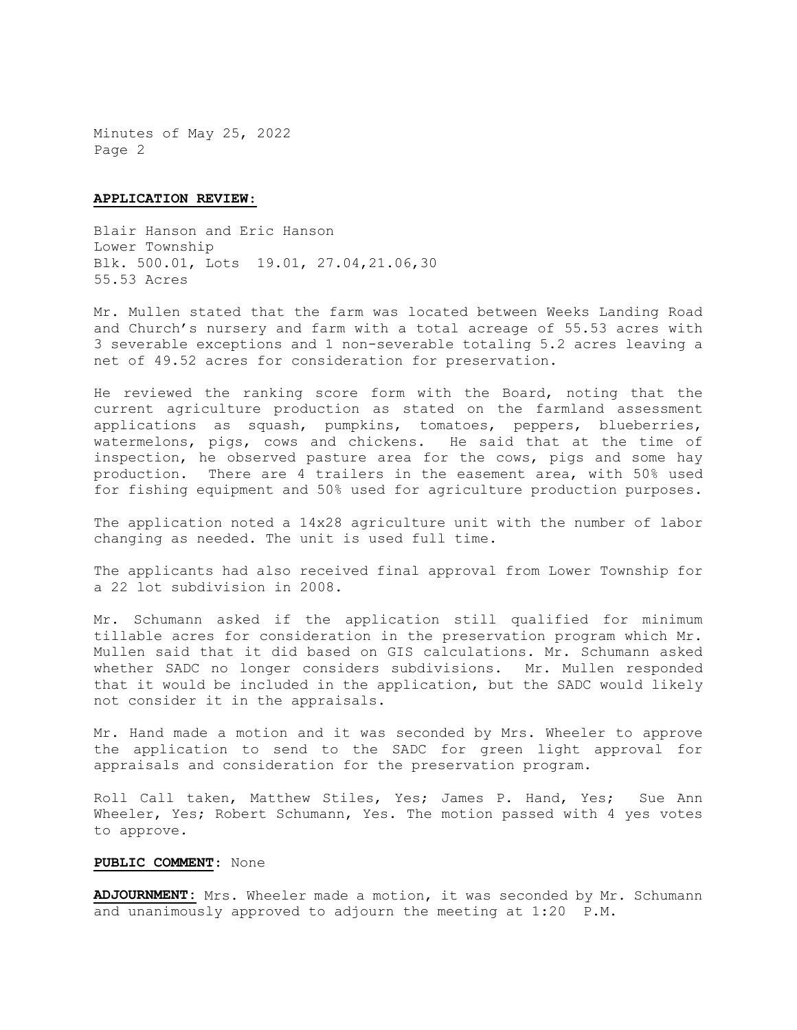Minutes of May 25, 2022 Page 2

## **APPLICATION REVIEW**:

Blair Hanson and Eric Hanson Lower Township Blk. 500.01, Lots 19.01, 27.04,21.06,30 55.53 Acres

Mr. Mullen stated that the farm was located between Weeks Landing Road and Church's nursery and farm with a total acreage of 55.53 acres with 3 severable exceptions and 1 non-severable totaling 5.2 acres leaving a net of 49.52 acres for consideration for preservation.

He reviewed the ranking score form with the Board, noting that the current agriculture production as stated on the farmland assessment applications as squash, pumpkins, tomatoes, peppers, blueberries, watermelons, pigs, cows and chickens. He said that at the time of inspection, he observed pasture area for the cows, pigs and some hay production. There are 4 trailers in the easement area, with 50% used for fishing equipment and 50% used for agriculture production purposes.

The application noted a 14x28 agriculture unit with the number of labor changing as needed. The unit is used full time.

The applicants had also received final approval from Lower Township for a 22 lot subdivision in 2008.

Mr. Schumann asked if the application still qualified for minimum tillable acres for consideration in the preservation program which Mr. Mullen said that it did based on GIS calculations. Mr. Schumann asked whether SADC no longer considers subdivisions. Mr. Mullen responded that it would be included in the application, but the SADC would likely not consider it in the appraisals.

Mr. Hand made a motion and it was seconded by Mrs. Wheeler to approve the application to send to the SADC for green light approval for appraisals and consideration for the preservation program.

Roll Call taken, Matthew Stiles, Yes; James P. Hand, Yes; Sue Ann Wheeler, Yes; Robert Schumann, Yes. The motion passed with 4 yes votes to approve.

## **PUBLIC COMMENT**: None

**ADJOURNMENT:** Mrs. Wheeler made a motion, it was seconded by Mr. Schumann and unanimously approved to adjourn the meeting at 1:20 P.M.